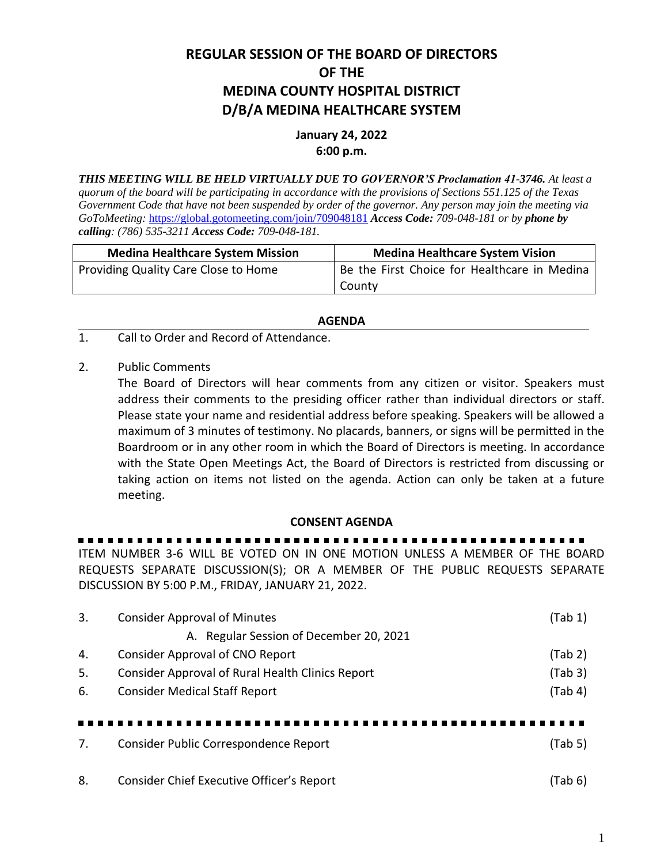# **REGULAR SESSION OF THE BOARD OF DIRECTORS OF THE MEDINA COUNTY HOSPITAL DISTRICT D/B/A MEDINA HEALTHCARE SYSTEM**

## **January 24, 2022 6:00 p.m.**

*THIS MEETING WILL BE HELD VIRTUALLY DUE TO GOVERNOR'S Proclamation 41-3746. At least a quorum of the board will be participating in accordance with the provisions of Sections 551.125 of the Texas Government Code that have not been suspended by order of the governor. Any person may join the meeting via GoToMeeting:* <https://global.gotomeeting.com/join/709048181> *Access Code: 709-048-181 or by phone by calling: (786) 535-3211 Access Code: 709-048-181.*

| <b>Medina Healthcare System Mission</b> | <b>Medina Healthcare System Vision</b>       |
|-----------------------------------------|----------------------------------------------|
| Providing Quality Care Close to Home    | Be the First Choice for Healthcare in Medina |
|                                         | County                                       |

#### **AGENDA**

- 1. Call to Order and Record of Attendance.
- 2. Public Comments

The Board of Directors will hear comments from any citizen or visitor. Speakers must address their comments to the presiding officer rather than individual directors or staff. Please state your name and residential address before speaking. Speakers will be allowed a maximum of 3 minutes of testimony. No placards, banners, or signs will be permitted in the Boardroom or in any other room in which the Board of Directors is meeting. In accordance with the State Open Meetings Act, the Board of Directors is restricted from discussing or taking action on items not listed on the agenda. Action can only be taken at a future meeting.

#### **CONSENT AGENDA**

### ITEM NUMBER 3-6 WILL BE VOTED ON IN ONE MOTION UNLESS A MEMBER OF THE BOARD REQUESTS SEPARATE DISCUSSION(S); OR A MEMBER OF THE PUBLIC REQUESTS SEPARATE

DISCUSSION BY 5:00 P.M., FRIDAY, JANUARY 21, 2022. 3. Consider Approval of Minutes (Tab 1)

| ာ. | CONSIDER APPROVAL OF MILITATES                   | l I diu Ti |
|----|--------------------------------------------------|------------|
|    | A. Regular Session of December 20, 2021          |            |
| 4. | Consider Approval of CNO Report                  | (Tab 2)    |
| 5. | Consider Approval of Rural Health Clinics Report | (Tab 3)    |
| 6. | <b>Consider Medical Staff Report</b>             | (Tab 4)    |
|    |                                                  |            |
|    |                                                  |            |
| 7. | Consider Public Correspondence Report            | (Tab 5)    |
|    |                                                  |            |
| 8. | Consider Chief Executive Officer's Report        | (Tab 6)    |